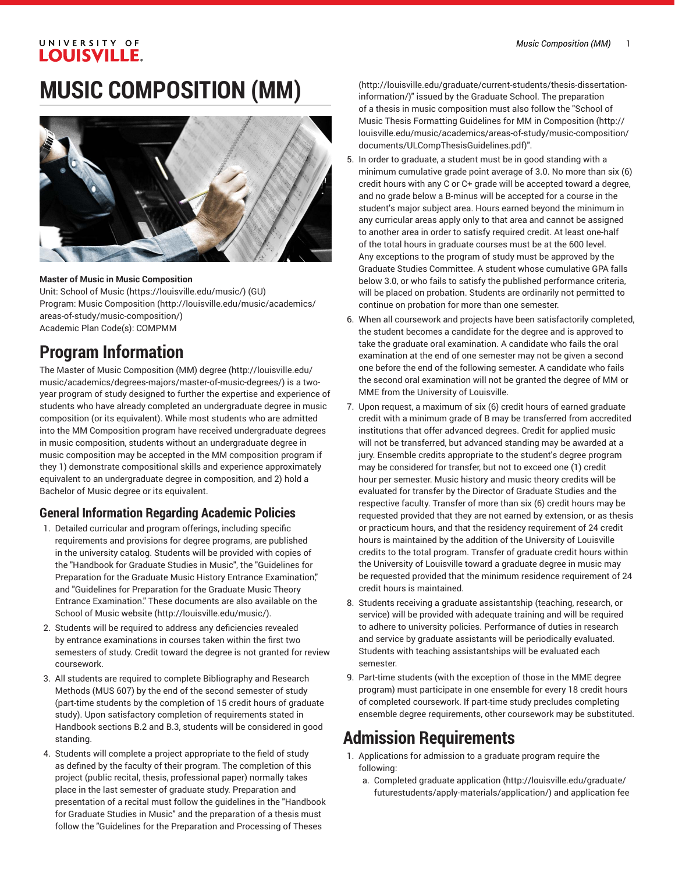#### UNIVERSITY OF **LOUISVILLE.**

# **MUSIC COMPOSITION (MM)**



#### **Master of Music in Music Composition**

Unit: [School of Music \(https://louisville.edu/music/\)](https://louisville.edu/music/) (GU) Program: [Music Composition \(http://louisville.edu/music/academics/](http://louisville.edu/music/academics/areas-of-study/music-composition/) [areas-of-study/music-composition/](http://louisville.edu/music/academics/areas-of-study/music-composition/)) Academic Plan Code(s): COMPMM

# **Program Information**

The Master of Music [Composition](http://louisville.edu/music/academics/degrees-majors/master-of-music-degrees/) (MM) degree [\(http://louisville.edu/](http://louisville.edu/music/academics/degrees-majors/master-of-music-degrees/) [music/academics/degrees-majors/master-of-music-degrees/\)](http://louisville.edu/music/academics/degrees-majors/master-of-music-degrees/) is a twoyear program of study designed to further the expertise and experience of students who have already completed an undergraduate degree in music composition (or its equivalent). While most students who are admitted into the MM Composition program have received undergraduate degrees in music composition, students without an undergraduate degree in music composition may be accepted in the MM composition program if they 1) demonstrate compositional skills and experience approximately equivalent to an undergraduate degree in composition, and 2) hold a Bachelor of Music degree or its equivalent.

### **General Information Regarding Academic Policies**

- 1. Detailed curricular and program offerings, including specific requirements and provisions for degree programs, are published in the university catalog. Students will be provided with copies of the "Handbook for Graduate Studies in Music", the "Guidelines for Preparation for the Graduate Music History Entrance Examination," and "Guidelines for Preparation for the Graduate Music Theory Entrance Examination." These documents are also available on the [School of Music website](http://louisville.edu/music/) ([http://louisville.edu/music/\)](http://louisville.edu/music/).
- 2. Students will be required to address any deficiencies revealed by entrance examinations in courses taken within the first two semesters of study. Credit toward the degree is not granted for review coursework.
- 3. All students are required to complete Bibliography and Research Methods [\(MUS 607](/search/?P=MUS%20607)) by the end of the second semester of study (part-time students by the completion of 15 credit hours of graduate study). Upon satisfactory completion of requirements stated in Handbook sections B.2 and B.3, students will be considered in good standing.
- 4. Students will complete a project appropriate to the field of study as defined by the faculty of their program. The completion of this project (public recital, thesis, professional paper) normally takes place in the last semester of graduate study. Preparation and presentation of a recital must follow the guidelines in the "Handbook for Graduate Studies in Music" and the preparation of a thesis must follow the "Guidelines for the [Preparation](http://louisville.edu/graduate/current-students/thesis-dissertation-information/) and Processing of Theses

[\(http://louisville.edu/graduate/current-students/thesis-dissertation](http://louisville.edu/graduate/current-students/thesis-dissertation-information/)[information/\)](http://louisville.edu/graduate/current-students/thesis-dissertation-information/)" issued by the Graduate School. The preparation of a thesis in music composition must also follow the "[School of](http://louisville.edu/music/academics/areas-of-study/music-composition/documents/ULCompThesisGuidelines.pdf) Music Thesis Formatting Guidelines for MM in [Composition](http://louisville.edu/music/academics/areas-of-study/music-composition/documents/ULCompThesisGuidelines.pdf) ([http://](http://louisville.edu/music/academics/areas-of-study/music-composition/documents/ULCompThesisGuidelines.pdf) [louisville.edu/music/academics/areas-of-study/music-composition/](http://louisville.edu/music/academics/areas-of-study/music-composition/documents/ULCompThesisGuidelines.pdf) [documents/ULCompThesisGuidelines.pdf\)](http://louisville.edu/music/academics/areas-of-study/music-composition/documents/ULCompThesisGuidelines.pdf)".

- 5. In order to graduate, a student must be in good standing with a minimum cumulative grade point average of 3.0. No more than six (6) credit hours with any C or C+ grade will be accepted toward a degree, and no grade below a B-minus will be accepted for a course in the student's major subject area. Hours earned beyond the minimum in any curricular areas apply only to that area and cannot be assigned to another area in order to satisfy required credit. At least one-half of the total hours in graduate courses must be at the 600 level. Any exceptions to the program of study must be approved by the Graduate Studies Committee. A student whose cumulative GPA falls below 3.0, or who fails to satisfy the published performance criteria, will be placed on probation. Students are ordinarily not permitted to continue on probation for more than one semester.
- 6. When all coursework and projects have been satisfactorily completed, the student becomes a candidate for the degree and is approved to take the graduate oral examination. A candidate who fails the oral examination at the end of one semester may not be given a second one before the end of the following semester. A candidate who fails the second oral examination will not be granted the degree of MM or MME from the University of Louisville.
- 7. Upon request, a maximum of six (6) credit hours of earned graduate credit with a minimum grade of B may be transferred from accredited institutions that offer advanced degrees. Credit for applied music will not be transferred, but advanced standing may be awarded at a jury. Ensemble credits appropriate to the student's degree program may be considered for transfer, but not to exceed one (1) credit hour per semester. Music history and music theory credits will be evaluated for transfer by the Director of Graduate Studies and the respective faculty. Transfer of more than six (6) credit hours may be requested provided that they are not earned by extension, or as thesis or practicum hours, and that the residency requirement of 24 credit hours is maintained by the addition of the University of Louisville credits to the total program. Transfer of graduate credit hours within the University of Louisville toward a graduate degree in music may be requested provided that the minimum residence requirement of 24 credit hours is maintained.
- 8. Students receiving a graduate assistantship (teaching, research, or service) will be provided with adequate training and will be required to adhere to university policies. Performance of duties in research and service by graduate assistants will be periodically evaluated. Students with teaching assistantships will be evaluated each semester.
- 9. Part-time students (with the exception of those in the MME degree program) must participate in one ensemble for every 18 credit hours of completed coursework. If part-time study precludes completing ensemble degree requirements, other coursework may be substituted.

### **Admission Requirements**

- 1. Applications for admission to a graduate program require the following:
	- a. Completed [graduate application](http://louisville.edu/graduate/futurestudents/apply-materials/application/) [\(http://louisville.edu/graduate/](http://louisville.edu/graduate/futurestudents/apply-materials/application/) [futurestudents/apply-materials/application/\)](http://louisville.edu/graduate/futurestudents/apply-materials/application/) and application fee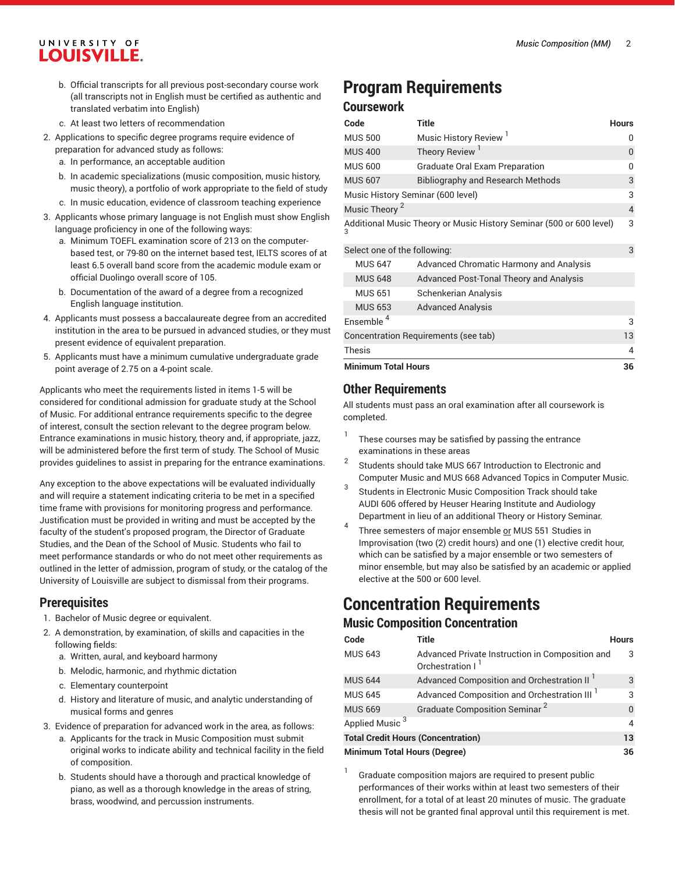#### *Music Composition (MM)* 2

#### UNIVERSITY OF **LOUISVILLE.**

- b. Official transcripts for all previous post-secondary course work (all transcripts not in English must be certified as authentic and translated verbatim into English)
- c. At least two letters of recommendation
- 2. Applications to specific degree programs require evidence of preparation for advanced study as follows:
	- a. In performance, an acceptable audition
	- b. In academic specializations (music composition, music history, music theory), a portfolio of work appropriate to the field of study
	- c. In music education, evidence of classroom teaching experience
- 3. Applicants whose primary language is not English must show English language proficiency in one of the following ways:
	- a. Minimum TOEFL examination score of 213 on the computerbased test, or 79-80 on the internet based test, IELTS scores of at least 6.5 overall band score from the academic module exam or official Duolingo overall score of 105.
	- b. Documentation of the award of a degree from a recognized English language institution.
- 4. Applicants must possess a baccalaureate degree from an accredited institution in the area to be pursued in advanced studies, or they must present evidence of equivalent preparation.
- 5. Applicants must have a minimum cumulative undergraduate grade point average of 2.75 on a 4-point scale.

Applicants who meet the requirements listed in items 1-5 will be considered for conditional admission for graduate study at the School of Music. For additional entrance requirements specific to the degree of interest, consult the section relevant to the degree program below. Entrance examinations in music history, theory and, if appropriate, jazz, will be administered before the first term of study. The School of Music provides guidelines to assist in preparing for the entrance examinations.

Any exception to the above expectations will be evaluated individually and will require a statement indicating criteria to be met in a specified time frame with provisions for monitoring progress and performance. Justification must be provided in writing and must be accepted by the faculty of the student's proposed program, the Director of Graduate Studies, and the Dean of the School of Music. Students who fail to meet performance standards or who do not meet other requirements as outlined in the letter of admission, program of study, or the catalog of the University of Louisville are subject to dismissal from their programs.

### **Prerequisites**

- 1. Bachelor of Music degree or equivalent.
- 2. A demonstration, by examination, of skills and capacities in the following fields:
	- a. Written, aural, and keyboard harmony
	- b. Melodic, harmonic, and rhythmic dictation
	- c. Elementary counterpoint
	- d. History and literature of music, and analytic understanding of musical forms and genres

3. Evidence of preparation for advanced work in the area, as follows:

- a. Applicants for the track in Music Composition must submit original works to indicate ability and technical facility in the field of composition.
- b. Students should have a thorough and practical knowledge of piano, as well as a thorough knowledge in the areas of string, brass, woodwind, and percussion instruments.

# **Program Requirements**

#### **Coursework**

| Code                                 | <b>Title</b>                                                        | <b>Hours</b>   |
|--------------------------------------|---------------------------------------------------------------------|----------------|
| <b>MUS 500</b>                       | Music History Review <sup>1</sup>                                   | O              |
| <b>MUS 400</b>                       | Theory Review <sup>1</sup>                                          | 0              |
| <b>MUS 600</b>                       | <b>Graduate Oral Exam Preparation</b>                               | O              |
| <b>MUS 607</b>                       | <b>Bibliography and Research Methods</b>                            | 3              |
| Music History Seminar (600 level)    |                                                                     | 3              |
| Music Theory <sup>2</sup>            |                                                                     | $\overline{4}$ |
| 3                                    | Additional Music Theory or Music History Seminar (500 or 600 level) | 3              |
| Select one of the following:         |                                                                     | 3              |
| <b>MUS 647</b>                       | Advanced Chromatic Harmony and Analysis                             |                |
| <b>MUS 648</b>                       | Advanced Post-Tonal Theory and Analysis                             |                |
| <b>MUS 651</b>                       | Schenkerian Analysis                                                |                |
| <b>MUS 653</b>                       | <b>Advanced Analysis</b>                                            |                |
| Ensemble <sup>4</sup>                |                                                                     | 3              |
| Concentration Requirements (see tab) |                                                                     |                |
| <b>Thesis</b>                        |                                                                     | 4              |
| <b>Minimum Total Hours</b>           |                                                                     |                |

### **Other Requirements**

All students must pass an oral examination after all coursework is completed.

- 1 These courses may be satisfied by passing the entrance examinations in these areas
- 2 Students should take MUS 667 Introduction to Electronic and Computer Music and MUS 668 Advanced Topics in Computer Music.
- 3 Students in Electronic Music Composition Track should take AUDI 606 offered by Heuser Hearing Institute and Audiology Department in lieu of an additional Theory or History Seminar.
- 4 Three semesters of major ensemble or MUS 551 Studies in Improvisation (two (2) credit hours) and one (1) elective credit hour, which can be satisfied by a major ensemble or two semesters of minor ensemble, but may also be satisfied by an academic or applied elective at the 500 or 600 level.

# **Concentration Requirements**

### **Music Composition Concentration**

1

| Code                                      | Title                                                                           | <b>Hours</b> |  |
|-------------------------------------------|---------------------------------------------------------------------------------|--------------|--|
| <b>MUS 643</b>                            | Advanced Private Instruction in Composition and<br>Orchestration I <sup>1</sup> | 3            |  |
| <b>MUS 644</b>                            | Advanced Composition and Orchestration II <sup>I</sup>                          | 3            |  |
| <b>MUS 645</b>                            | Advanced Composition and Orchestration III <sup>1</sup>                         | 3            |  |
| <b>MUS 669</b>                            | Graduate Composition Seminar <sup>2</sup>                                       | $\Omega$     |  |
| Applied Music <sup>3</sup>                |                                                                                 | 4            |  |
| <b>Total Credit Hours (Concentration)</b> |                                                                                 |              |  |
| <b>Minimum Total Hours (Degree)</b>       |                                                                                 |              |  |

Graduate composition majors are required to present public performances of their works within at least two semesters of their enrollment, for a total of at least 20 minutes of music. The graduate thesis will not be granted final approval until this requirement is met.